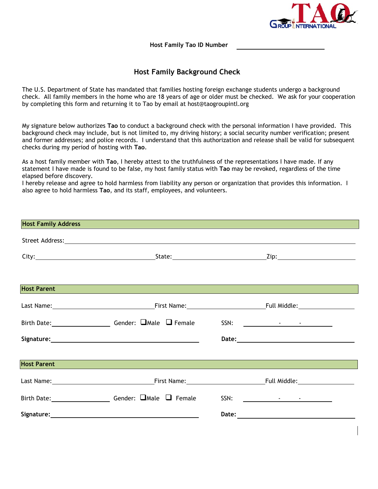

**Host Family Tao ID Number** 

## **Host Family Background Check**

The U.S. Department of State has mandated that families hosting foreign exchange students undergo a background check. All family members in the home who are 18 years of age or older must be checked. We ask for your cooperation by completing this form and returning it to Tao by email at host@taogroupintl.org

My signature below authorizes **Tao** to conduct a background check with the personal information I have provided. This background check may include, but is not limited to, my driving history; a social security number verification; present and former addresses; and police records. I understand that this authorization and release shall be valid for subsequent checks during my period of hosting with **Tao**.

As a host family member with **Tao**, I hereby attest to the truthfulness of the representations I have made. If any statement I have made is found to be false, my host family status with **Tao** may be revoked, regardless of the time elapsed before discovery.

I hereby release and agree to hold harmless from liability any person or organization that provides this information. I also agree to hold harmless **Tao**, and its staff, employees, and volunteers.

| <b>Host Family Address Manual Community of the Community of the Community of the Community of the Community of the Community of the Community of the Community of the Community of the Community of the Community of the Commu</b> |                       |  |
|------------------------------------------------------------------------------------------------------------------------------------------------------------------------------------------------------------------------------------|-----------------------|--|
|                                                                                                                                                                                                                                    |                       |  |
|                                                                                                                                                                                                                                    |                       |  |
|                                                                                                                                                                                                                                    |                       |  |
| Host Parent                                                                                                                                                                                                                        |                       |  |
|                                                                                                                                                                                                                                    |                       |  |
| Birth Date: _________________________Gender: DMale D Female SSN: ________________                                                                                                                                                  |                       |  |
|                                                                                                                                                                                                                                    |                       |  |
| <b>Host Parent</b>                                                                                                                                                                                                                 |                       |  |
|                                                                                                                                                                                                                                    |                       |  |
| Birth Date: __________________________Gender: DMale D Female SSN: _______________                                                                                                                                                  |                       |  |
|                                                                                                                                                                                                                                    | Date: $\qquad \qquad$ |  |